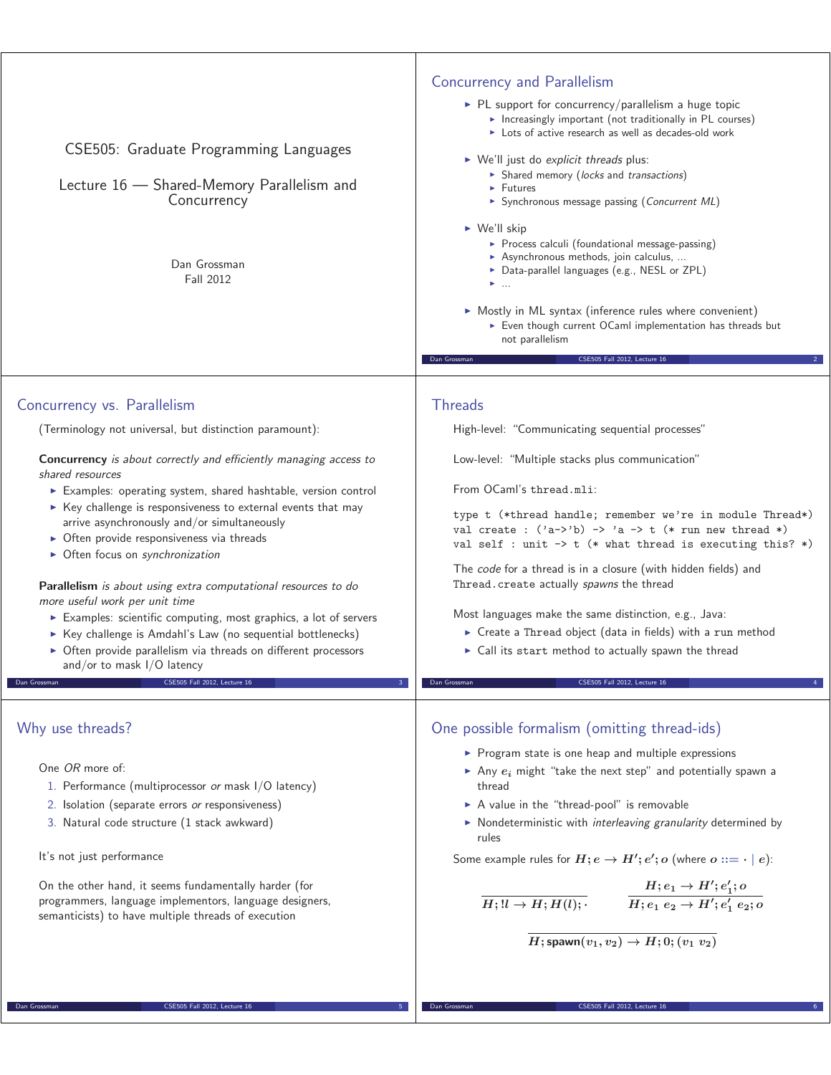| CSE505: Graduate Programming Languages<br>Lecture 16 - Shared-Memory Parallelism and<br>Concurrency<br>Dan Grossman<br>Fall 2012 | <b>Concurrency and Parallelism</b><br>$\triangleright$ PL support for concurrency/parallelism a huge topic<br>Increasingly important (not traditionally in PL courses)<br>Lots of active research as well as decades-old work<br>$\triangleright$ We'll just do explicit threads plus:<br>> Shared memory (locks and transactions)<br>$\blacktriangleright$ Futures<br>Synchronous message passing (Concurrent ML)<br>$\triangleright$ We'll skip<br>Process calculi (foundational message-passing)<br>Asynchronous methods, join calculus,<br>▶ Data-parallel languages (e.g., NESL or ZPL)<br>$\blacktriangleright$<br>• Mostly in ML syntax (inference rules where convenient)<br>Even though current OCaml implementation has threads but<br>not parallelism<br>CSE505 Fall 2012, Lecture 16<br>Dan Grossman |
|----------------------------------------------------------------------------------------------------------------------------------|------------------------------------------------------------------------------------------------------------------------------------------------------------------------------------------------------------------------------------------------------------------------------------------------------------------------------------------------------------------------------------------------------------------------------------------------------------------------------------------------------------------------------------------------------------------------------------------------------------------------------------------------------------------------------------------------------------------------------------------------------------------------------------------------------------------|
|                                                                                                                                  |                                                                                                                                                                                                                                                                                                                                                                                                                                                                                                                                                                                                                                                                                                                                                                                                                  |
| Concurrency vs. Parallelism                                                                                                      | <b>Threads</b>                                                                                                                                                                                                                                                                                                                                                                                                                                                                                                                                                                                                                                                                                                                                                                                                   |
| (Terminology not universal, but distinction paramount):                                                                          | High-level: "Communicating sequential processes"                                                                                                                                                                                                                                                                                                                                                                                                                                                                                                                                                                                                                                                                                                                                                                 |
| Concurrency is about correctly and efficiently managing access to<br>shared resources                                            | Low-level: "Multiple stacks plus communication"                                                                                                                                                                                                                                                                                                                                                                                                                                                                                                                                                                                                                                                                                                                                                                  |
| Examples: operating system, shared hashtable, version control                                                                    | From OCaml's thread.mli:                                                                                                                                                                                                                                                                                                                                                                                                                                                                                                                                                                                                                                                                                                                                                                                         |
| ► Key challenge is responsiveness to external events that may                                                                    | type t (*thread handle; remember we're in module Thread*)                                                                                                                                                                                                                                                                                                                                                                                                                                                                                                                                                                                                                                                                                                                                                        |
| arrive asynchronously and/or simultaneously<br>• Often provide responsiveness via threads                                        | val create : $('a->'b) -> 'a -> t$ (* run new thread *)                                                                                                                                                                                                                                                                                                                                                                                                                                                                                                                                                                                                                                                                                                                                                          |
| • Often focus on synchronization                                                                                                 | val self : unit $\rightarrow$ t (* what thread is executing this? *)                                                                                                                                                                                                                                                                                                                                                                                                                                                                                                                                                                                                                                                                                                                                             |
| Parallelism is about using extra computational resources to do<br>more useful work per unit time                                 | The code for a thread is in a closure (with hidden fields) and<br>Thread. create actually spawns the thread                                                                                                                                                                                                                                                                                                                                                                                                                                                                                                                                                                                                                                                                                                      |
| Examples: scientific computing, most graphics, a lot of servers                                                                  | Most languages make the same distinction, e.g., Java:                                                                                                                                                                                                                                                                                                                                                                                                                                                                                                                                                                                                                                                                                                                                                            |
| ▶ Key challenge is Amdahl's Law (no sequential bottlenecks)                                                                      | ► Create a Thread object (data in fields) with a run method                                                                                                                                                                                                                                                                                                                                                                                                                                                                                                                                                                                                                                                                                                                                                      |
| • Often provide parallelism via threads on different processors<br>and/or to mask I/O latency                                    | ► Call its start method to actually spawn the thread                                                                                                                                                                                                                                                                                                                                                                                                                                                                                                                                                                                                                                                                                                                                                             |
| Dan Grossman<br>CSE505 Fall 2012. Lecture 16                                                                                     | CSE505 Fall 2012, Lecture 16<br>Dan Grossman                                                                                                                                                                                                                                                                                                                                                                                                                                                                                                                                                                                                                                                                                                                                                                     |
|                                                                                                                                  |                                                                                                                                                                                                                                                                                                                                                                                                                                                                                                                                                                                                                                                                                                                                                                                                                  |
| Why use threads?                                                                                                                 | One possible formalism (omitting thread-ids)                                                                                                                                                                                                                                                                                                                                                                                                                                                                                                                                                                                                                                                                                                                                                                     |
| One OR more of:                                                                                                                  | ▶ Program state is one heap and multiple expressions                                                                                                                                                                                                                                                                                                                                                                                                                                                                                                                                                                                                                                                                                                                                                             |
| 1. Performance (multiprocessor or mask I/O latency)                                                                              | Any $e_i$ might "take the next step" and potentially spawn a<br>thread                                                                                                                                                                                                                                                                                                                                                                                                                                                                                                                                                                                                                                                                                                                                           |
| 2. Isolation (separate errors or responsiveness)                                                                                 | A value in the "thread-pool" is removable                                                                                                                                                                                                                                                                                                                                                                                                                                                                                                                                                                                                                                                                                                                                                                        |
| 3. Natural code structure (1 stack awkward)                                                                                      | • Nondeterministic with interleaving granularity determined by<br>rules                                                                                                                                                                                                                                                                                                                                                                                                                                                                                                                                                                                                                                                                                                                                          |
| It's not just performance                                                                                                        | Some example rules for $H$ ; $e \rightarrow H'$ ; $e'$ ; $o$ (where $o ::= \cdot   e$ ):                                                                                                                                                                                                                                                                                                                                                                                                                                                                                                                                                                                                                                                                                                                         |
| On the other hand, it seems fundamentally harder (for<br>programmers, language implementors, language designers,                 | $\begin{array}{lll} \hline H; & H;H(l); \end{array} \qquad \begin{array}{lll} H;e_1\rightarrow H';e_1';o \ \hline H;e_1~e_2\rightarrow H';e_1'~e_2;o \end{array}$                                                                                                                                                                                                                                                                                                                                                                                                                                                                                                                                                                                                                                                |
| semanticists) to have multiple threads of execution                                                                              |                                                                                                                                                                                                                                                                                                                                                                                                                                                                                                                                                                                                                                                                                                                                                                                                                  |
|                                                                                                                                  | $\overline{H; \mathsf{spawn}(v_1, v_2)} \rightarrow H; 0; (v_1, v_2)$                                                                                                                                                                                                                                                                                                                                                                                                                                                                                                                                                                                                                                                                                                                                            |
|                                                                                                                                  |                                                                                                                                                                                                                                                                                                                                                                                                                                                                                                                                                                                                                                                                                                                                                                                                                  |
| Dan Grossman<br>CSE505 Fall 2012, Lecture 16                                                                                     | Dan Grossman<br>CSE505 Fall 2012, Lecture 16                                                                                                                                                                                                                                                                                                                                                                                                                                                                                                                                                                                                                                                                                                                                                                     |
|                                                                                                                                  |                                                                                                                                                                                                                                                                                                                                                                                                                                                                                                                                                                                                                                                                                                                                                                                                                  |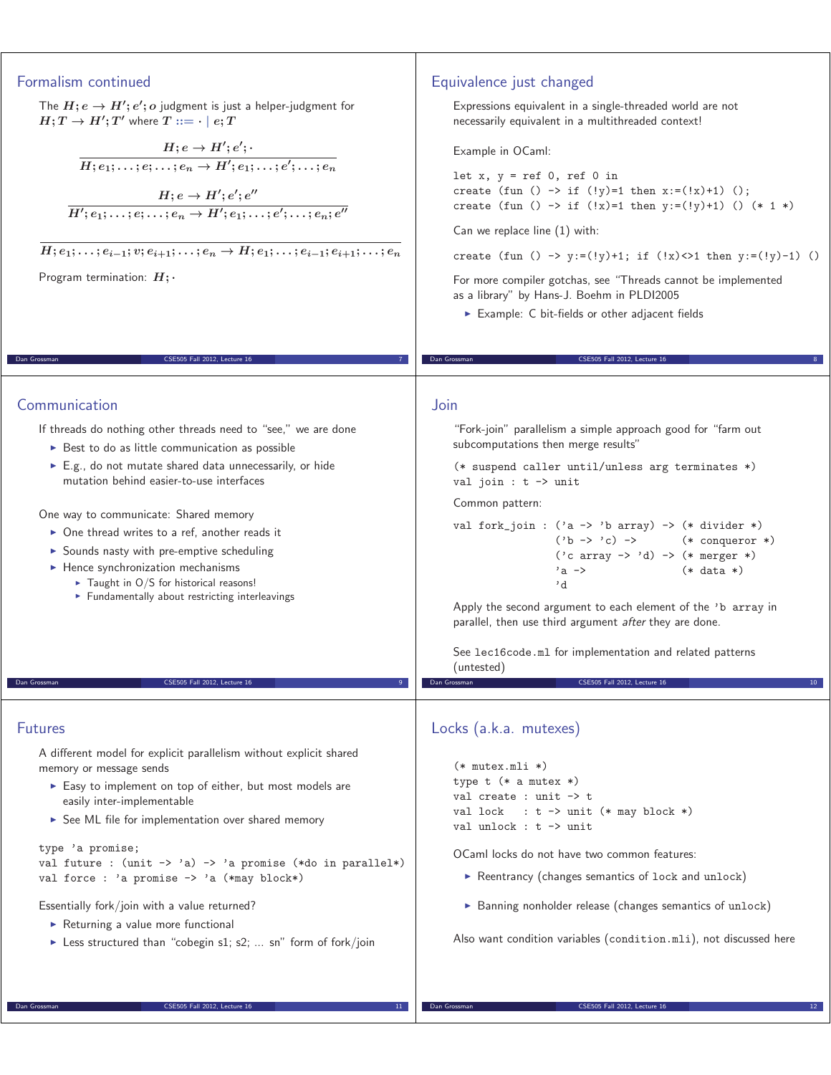| Formalism continued<br>The $H$ ; $e \rightarrow H'$ ; $e'$ ; o judgment is just a helper-judgment for<br>$H;T\to H';T'$ where $T ::= \cdot \mid e;T$<br>$H; e \rightarrow H'; e';\ H; e_1;\ldots; e; \ldots; e_n \rightarrow H'; e_1;\ldots; e';\ldots; e_n$<br>$H; e \rightarrow H'; e'; e'' \over H'; e_1; \ldots; e; \ldots; e_n \rightarrow H'; e_1; \ldots; e'; \ldots; e_n; e''$                                                                                                                                                                                                                                                                              | Equivalence just changed<br>Expressions equivalent in a single-threaded world are not<br>necessarily equivalent in a multithreaded context!<br>Example in OCaml:<br>let $x, y = ref 0, ref 0 in$<br>create (fun () -> if (!y)=1 then $x:=('x)+1)$ ();<br>create (fun () -> if (!x)=1 then $y:=(!y)+1)$ () (* 1 *)<br>Can we replace line $(1)$ with:                                                                                                                                                                                                                                                                                                                                                    |
|---------------------------------------------------------------------------------------------------------------------------------------------------------------------------------------------------------------------------------------------------------------------------------------------------------------------------------------------------------------------------------------------------------------------------------------------------------------------------------------------------------------------------------------------------------------------------------------------------------------------------------------------------------------------|---------------------------------------------------------------------------------------------------------------------------------------------------------------------------------------------------------------------------------------------------------------------------------------------------------------------------------------------------------------------------------------------------------------------------------------------------------------------------------------------------------------------------------------------------------------------------------------------------------------------------------------------------------------------------------------------------------|
| $H; e_1; \ldots; e_{i-1}; v; e_{i+1}; \ldots; e_n \to H; e_1; \ldots; e_{i-1}; e_{i+1}; \ldots; e_n$                                                                                                                                                                                                                                                                                                                                                                                                                                                                                                                                                                | create (fun () -> $y:=(ly)+1$ ; if $(!x)\leq 1$ then $y:=(ly)-1)$ ()                                                                                                                                                                                                                                                                                                                                                                                                                                                                                                                                                                                                                                    |
| Program termination: $H$ ;                                                                                                                                                                                                                                                                                                                                                                                                                                                                                                                                                                                                                                          | For more compiler gotchas, see "Threads cannot be implemented<br>as a library" by Hans-J. Boehm in PLDI2005<br>Example: C bit-fields or other adjacent fields                                                                                                                                                                                                                                                                                                                                                                                                                                                                                                                                           |
| CSE505 Fall 2012, Lecture 16<br>Dan Grossman                                                                                                                                                                                                                                                                                                                                                                                                                                                                                                                                                                                                                        | CSE505 Fall 2012, Lecture 16<br>Dan Grossman                                                                                                                                                                                                                                                                                                                                                                                                                                                                                                                                                                                                                                                            |
| Communication<br>If threads do nothing other threads need to "see," we are done<br>► Best to do as little communication as possible<br>$\triangleright$ E.g., do not mutate shared data unnecessarily, or hide<br>mutation behind easier-to-use interfaces<br>One way to communicate: Shared memory<br>• One thread writes to a ref, another reads it<br>Sounds nasty with pre-emptive scheduling<br>$\blacktriangleright$ Hence synchronization mechanisms<br>$\triangleright$ Taught in O/S for historical reasons!<br>Fundamentally about restricting interleavings<br>CSE505 Fall 2012, Lecture 16<br>Dan Grossman                                              | Join<br>"Fork-join" parallelism a simple approach good for "farm out<br>subcomputations then merge results"<br>(* suspend caller until/unless arg terminates *)<br>val join : $t \rightarrow$ unit<br>Common pattern:<br>val fork_join : $('a \rightarrow 'b \ array) \rightarrow (* \ divisor * )$<br>$('b \rightarrow 'c)$ -> (* conqueror *)<br>$('c array -> 'd) -> (* merger *)$<br>$(*$ data $*)$<br>$a \rightarrow$<br>d'<br>Apply the second argument to each element of the 'b array in<br>parallel, then use third argument after they are done.<br>See lec16code.ml for implementation and related patterns<br>(untested)<br>Dan Grossman<br>CSE505 Fall 2012, Lecture 16<br>10 <sup>°</sup> |
| <b>Futures</b><br>A different model for explicit parallelism without explicit shared<br>memory or message sends<br>Easy to implement on top of either, but most models are<br>easily inter-implementable<br>See ML file for implementation over shared memory<br>type 'a promise;<br>val future : $(\text{unit} \rightarrow 'a) \rightarrow 'a$ promise $(*do$ in parallel*)<br>val force : 'a promise -> 'a (*may block*)<br>Essentially fork/join with a value returned?<br>$\triangleright$ Returning a value more functional<br>Less structured than "cobegin s1; s2;  sn" form of fork/join<br>Dan Grossman<br>CSE505 Fall 2012, Lecture 16<br>11 <sup>1</sup> | Locks (a.k.a. mutexes)<br>$(*$ mutex.mli $*)$<br>type $t$ (* a mutex *)<br>val create : unit $\rightarrow$ t<br>val lock : $t \rightarrow \text{unit}$ (* may block *)<br>val unlock : $t \rightarrow$ unit<br>OCaml locks do not have two common features:<br>$\triangleright$ Reentrancy (changes semantics of lock and unlock)<br>> Banning nonholder release (changes semantics of unlock)<br>Also want condition variables (condition.mli), not discussed here<br>Dan Grossman<br>CSE505 Fall 2012, Lecture 16                                                                                                                                                                                     |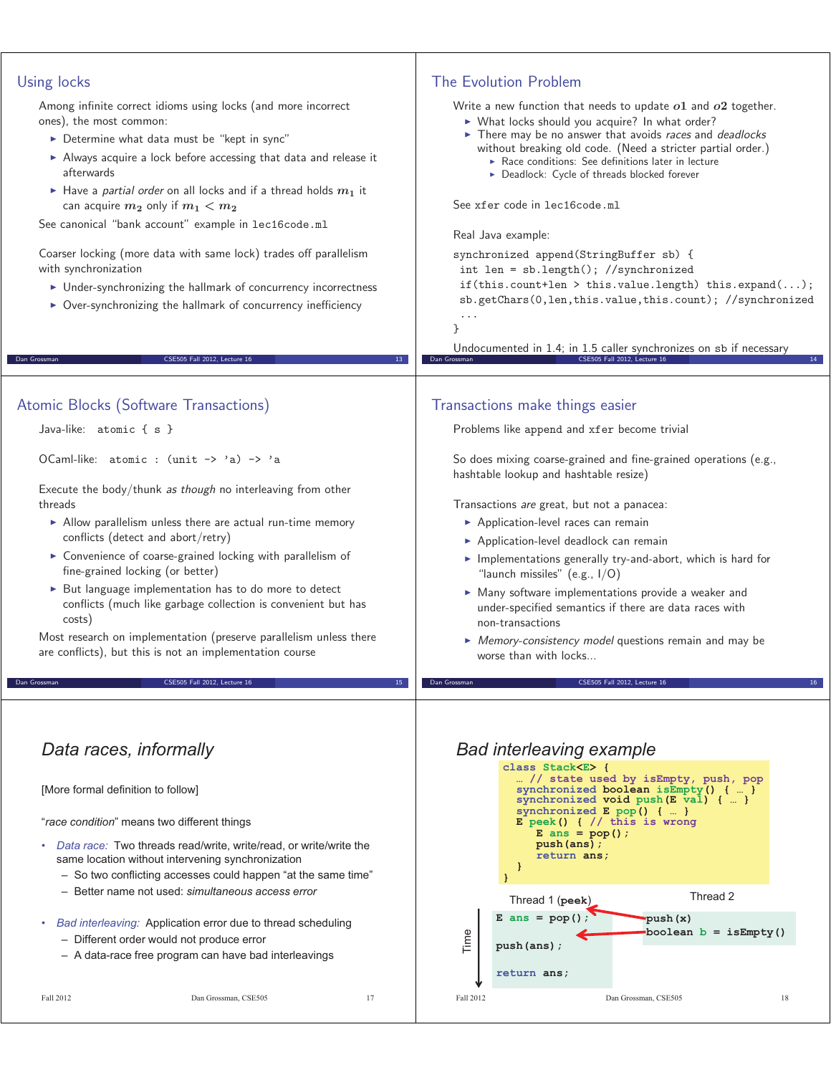| • Under-synchronizing the hallmark of concurrency incorrectness<br>• Over-synchronizing the hallmark of concurrency inefficiency<br>ł<br>Undocumented in 1.4; in 1.5 caller synchronizes on sb if necessary<br>CSE505 Fall 2012, Lecture 16<br>CSE505 Fall 2012, Lecture 16<br>Dan Grossman<br>Dan Grossman<br>13<br>Atomic Blocks (Software Transactions)<br>Transactions make things easier<br>Java-like: atomic { s }<br>Problems like append and xfer become trivial<br>OCaml-like: atomic : (unit -> 'a) -> 'a<br>So does mixing coarse-grained and fine-grained operations (e.g.,<br>hashtable lookup and hashtable resize)<br>Execute the body/thunk as though no interleaving from other<br>threads<br>Transactions are great, but not a panacea:<br>Allow parallelism unless there are actual run-time memory<br>Application-level races can remain<br>conflicts (detect and abort/retry)<br>Application-level deadlock can remain<br>• Convenience of coarse-grained locking with parallelism of<br>Implementations generally try-and-abort, which is hard for<br>fine-grained locking (or better)<br>"launch missiles" (e.g., $I/O$ )<br>> But language implementation has to do more to detect<br>• Many software implementations provide a weaker and<br>conflicts (much like garbage collection is convenient but has<br>under-specified semantics if there are data races with<br>costs)<br>non-transactions<br>Most research on implementation (preserve parallelism unless there<br>• Memory-consistency model questions remain and may be<br>are conflicts), but this is not an implementation course<br>worse than with locks<br>CSE505 Fall 2012, Lecture 16<br>CSE505 Fall 2012, Lecture 16<br>Dan Grossman<br>Dan Grossman<br>Data races, informally<br><b>Bad interleaving example</b><br>class Stack <e> {<br/> // state used by isEmpty, push, pop<br/>synchronized boolean isEmpty() {  }<br/>[More formal definition to follow]<br/>synchronized void push <math>(E \text{ val})</math> {  }<br/>synchronized <math>E</math> pop() {  }<br/>"race condition" means two different things<br/>E peek() <math>\{</math> // this is wrong<br/>E ans = <math>pop()</math>;<br/>push (ans);<br/>Data race: Two threads read/write, write/read, or write/write the<br/>return ans;<br/>same location without intervening synchronization<br/>- So two conflicting accesses could happen "at the same time"<br/>- Better name not used: simultaneous access error<br/>Thread 2<br/>Thread 1 (peek)<br/><math>E</math> ans = <math>pop()</math><br/>push (x)<br/>Bad interleaving: Application error due to thread scheduling<br/>٠<br/>boolean <math>b = i s \text{Empty}()</math><br/>Time<br/>- Different order would not produce error<br/>push (ans);<br/>- A data-race free program can have bad interleavings<br/>return ans;<br/>Fall 2012<br/>Fall 2012<br/>Dan Grossman, CSE505<br/>17<br/>Dan Grossman, CSE505<br/>18</e> | if(this.count+len > this.value.length) this.expand $();$<br>sb.getChars(0,len,this.value,this.count); //synchronized | Using locks<br>Among infinite correct idioms using locks (and more incorrect<br>ones), the most common:<br>Determine what data must be "kept in sync"<br>Always acquire a lock before accessing that data and release it<br>afterwards<br>Have a partial order on all locks and if a thread holds $m_1$ it<br>can acquire $m_2$ only if $m_1 < m_2$<br>See canonical "bank account" example in lec16code.ml<br>Coarser locking (more data with same lock) trades off parallelism<br>with synchronization | The Evolution Problem<br>Write a new function that needs to update $o1$ and $o2$ together.<br>> What locks should you acquire? In what order?<br>There may be no answer that avoids races and deadlocks<br>without breaking old code. (Need a stricter partial order.)<br>Race conditions: See definitions later in lecture<br>Deadlock: Cycle of threads blocked forever<br>See xfer code in lec16code.ml<br>Real Java example:<br>synchronized append(StringBuffer sb) {<br>$int len = sb.length(); //synchronized$ |
|--------------------------------------------------------------------------------------------------------------------------------------------------------------------------------------------------------------------------------------------------------------------------------------------------------------------------------------------------------------------------------------------------------------------------------------------------------------------------------------------------------------------------------------------------------------------------------------------------------------------------------------------------------------------------------------------------------------------------------------------------------------------------------------------------------------------------------------------------------------------------------------------------------------------------------------------------------------------------------------------------------------------------------------------------------------------------------------------------------------------------------------------------------------------------------------------------------------------------------------------------------------------------------------------------------------------------------------------------------------------------------------------------------------------------------------------------------------------------------------------------------------------------------------------------------------------------------------------------------------------------------------------------------------------------------------------------------------------------------------------------------------------------------------------------------------------------------------------------------------------------------------------------------------------------------------------------------------------------------------------------------------------------------------------------------------------------------------------------------------------------------------------------------------------------------------------------------------------------------------------------------------------------------------------------------------------------------------------------------------------------------------------------------------------------------------------------------------------------------------------------------------------------------------------------------------------------------------------------------------------------------------------------------------------------------------------------------------------------------------------------------------------------------------------------------------------------------------------------------------------------------------------------------------------------------------------------------|----------------------------------------------------------------------------------------------------------------------|----------------------------------------------------------------------------------------------------------------------------------------------------------------------------------------------------------------------------------------------------------------------------------------------------------------------------------------------------------------------------------------------------------------------------------------------------------------------------------------------------------|-----------------------------------------------------------------------------------------------------------------------------------------------------------------------------------------------------------------------------------------------------------------------------------------------------------------------------------------------------------------------------------------------------------------------------------------------------------------------------------------------------------------------|
|                                                                                                                                                                                                                                                                                                                                                                                                                                                                                                                                                                                                                                                                                                                                                                                                                                                                                                                                                                                                                                                                                                                                                                                                                                                                                                                                                                                                                                                                                                                                                                                                                                                                                                                                                                                                                                                                                                                                                                                                                                                                                                                                                                                                                                                                                                                                                                                                                                                                                                                                                                                                                                                                                                                                                                                                                                                                                                                                                        |                                                                                                                      |                                                                                                                                                                                                                                                                                                                                                                                                                                                                                                          |                                                                                                                                                                                                                                                                                                                                                                                                                                                                                                                       |
|                                                                                                                                                                                                                                                                                                                                                                                                                                                                                                                                                                                                                                                                                                                                                                                                                                                                                                                                                                                                                                                                                                                                                                                                                                                                                                                                                                                                                                                                                                                                                                                                                                                                                                                                                                                                                                                                                                                                                                                                                                                                                                                                                                                                                                                                                                                                                                                                                                                                                                                                                                                                                                                                                                                                                                                                                                                                                                                                                        |                                                                                                                      |                                                                                                                                                                                                                                                                                                                                                                                                                                                                                                          |                                                                                                                                                                                                                                                                                                                                                                                                                                                                                                                       |
|                                                                                                                                                                                                                                                                                                                                                                                                                                                                                                                                                                                                                                                                                                                                                                                                                                                                                                                                                                                                                                                                                                                                                                                                                                                                                                                                                                                                                                                                                                                                                                                                                                                                                                                                                                                                                                                                                                                                                                                                                                                                                                                                                                                                                                                                                                                                                                                                                                                                                                                                                                                                                                                                                                                                                                                                                                                                                                                                                        |                                                                                                                      |                                                                                                                                                                                                                                                                                                                                                                                                                                                                                                          |                                                                                                                                                                                                                                                                                                                                                                                                                                                                                                                       |
|                                                                                                                                                                                                                                                                                                                                                                                                                                                                                                                                                                                                                                                                                                                                                                                                                                                                                                                                                                                                                                                                                                                                                                                                                                                                                                                                                                                                                                                                                                                                                                                                                                                                                                                                                                                                                                                                                                                                                                                                                                                                                                                                                                                                                                                                                                                                                                                                                                                                                                                                                                                                                                                                                                                                                                                                                                                                                                                                                        |                                                                                                                      |                                                                                                                                                                                                                                                                                                                                                                                                                                                                                                          |                                                                                                                                                                                                                                                                                                                                                                                                                                                                                                                       |
|                                                                                                                                                                                                                                                                                                                                                                                                                                                                                                                                                                                                                                                                                                                                                                                                                                                                                                                                                                                                                                                                                                                                                                                                                                                                                                                                                                                                                                                                                                                                                                                                                                                                                                                                                                                                                                                                                                                                                                                                                                                                                                                                                                                                                                                                                                                                                                                                                                                                                                                                                                                                                                                                                                                                                                                                                                                                                                                                                        |                                                                                                                      |                                                                                                                                                                                                                                                                                                                                                                                                                                                                                                          |                                                                                                                                                                                                                                                                                                                                                                                                                                                                                                                       |
|                                                                                                                                                                                                                                                                                                                                                                                                                                                                                                                                                                                                                                                                                                                                                                                                                                                                                                                                                                                                                                                                                                                                                                                                                                                                                                                                                                                                                                                                                                                                                                                                                                                                                                                                                                                                                                                                                                                                                                                                                                                                                                                                                                                                                                                                                                                                                                                                                                                                                                                                                                                                                                                                                                                                                                                                                                                                                                                                                        |                                                                                                                      |                                                                                                                                                                                                                                                                                                                                                                                                                                                                                                          |                                                                                                                                                                                                                                                                                                                                                                                                                                                                                                                       |
|                                                                                                                                                                                                                                                                                                                                                                                                                                                                                                                                                                                                                                                                                                                                                                                                                                                                                                                                                                                                                                                                                                                                                                                                                                                                                                                                                                                                                                                                                                                                                                                                                                                                                                                                                                                                                                                                                                                                                                                                                                                                                                                                                                                                                                                                                                                                                                                                                                                                                                                                                                                                                                                                                                                                                                                                                                                                                                                                                        |                                                                                                                      |                                                                                                                                                                                                                                                                                                                                                                                                                                                                                                          |                                                                                                                                                                                                                                                                                                                                                                                                                                                                                                                       |
|                                                                                                                                                                                                                                                                                                                                                                                                                                                                                                                                                                                                                                                                                                                                                                                                                                                                                                                                                                                                                                                                                                                                                                                                                                                                                                                                                                                                                                                                                                                                                                                                                                                                                                                                                                                                                                                                                                                                                                                                                                                                                                                                                                                                                                                                                                                                                                                                                                                                                                                                                                                                                                                                                                                                                                                                                                                                                                                                                        |                                                                                                                      |                                                                                                                                                                                                                                                                                                                                                                                                                                                                                                          |                                                                                                                                                                                                                                                                                                                                                                                                                                                                                                                       |
|                                                                                                                                                                                                                                                                                                                                                                                                                                                                                                                                                                                                                                                                                                                                                                                                                                                                                                                                                                                                                                                                                                                                                                                                                                                                                                                                                                                                                                                                                                                                                                                                                                                                                                                                                                                                                                                                                                                                                                                                                                                                                                                                                                                                                                                                                                                                                                                                                                                                                                                                                                                                                                                                                                                                                                                                                                                                                                                                                        |                                                                                                                      |                                                                                                                                                                                                                                                                                                                                                                                                                                                                                                          |                                                                                                                                                                                                                                                                                                                                                                                                                                                                                                                       |
|                                                                                                                                                                                                                                                                                                                                                                                                                                                                                                                                                                                                                                                                                                                                                                                                                                                                                                                                                                                                                                                                                                                                                                                                                                                                                                                                                                                                                                                                                                                                                                                                                                                                                                                                                                                                                                                                                                                                                                                                                                                                                                                                                                                                                                                                                                                                                                                                                                                                                                                                                                                                                                                                                                                                                                                                                                                                                                                                                        |                                                                                                                      |                                                                                                                                                                                                                                                                                                                                                                                                                                                                                                          |                                                                                                                                                                                                                                                                                                                                                                                                                                                                                                                       |
|                                                                                                                                                                                                                                                                                                                                                                                                                                                                                                                                                                                                                                                                                                                                                                                                                                                                                                                                                                                                                                                                                                                                                                                                                                                                                                                                                                                                                                                                                                                                                                                                                                                                                                                                                                                                                                                                                                                                                                                                                                                                                                                                                                                                                                                                                                                                                                                                                                                                                                                                                                                                                                                                                                                                                                                                                                                                                                                                                        |                                                                                                                      |                                                                                                                                                                                                                                                                                                                                                                                                                                                                                                          |                                                                                                                                                                                                                                                                                                                                                                                                                                                                                                                       |
|                                                                                                                                                                                                                                                                                                                                                                                                                                                                                                                                                                                                                                                                                                                                                                                                                                                                                                                                                                                                                                                                                                                                                                                                                                                                                                                                                                                                                                                                                                                                                                                                                                                                                                                                                                                                                                                                                                                                                                                                                                                                                                                                                                                                                                                                                                                                                                                                                                                                                                                                                                                                                                                                                                                                                                                                                                                                                                                                                        |                                                                                                                      |                                                                                                                                                                                                                                                                                                                                                                                                                                                                                                          |                                                                                                                                                                                                                                                                                                                                                                                                                                                                                                                       |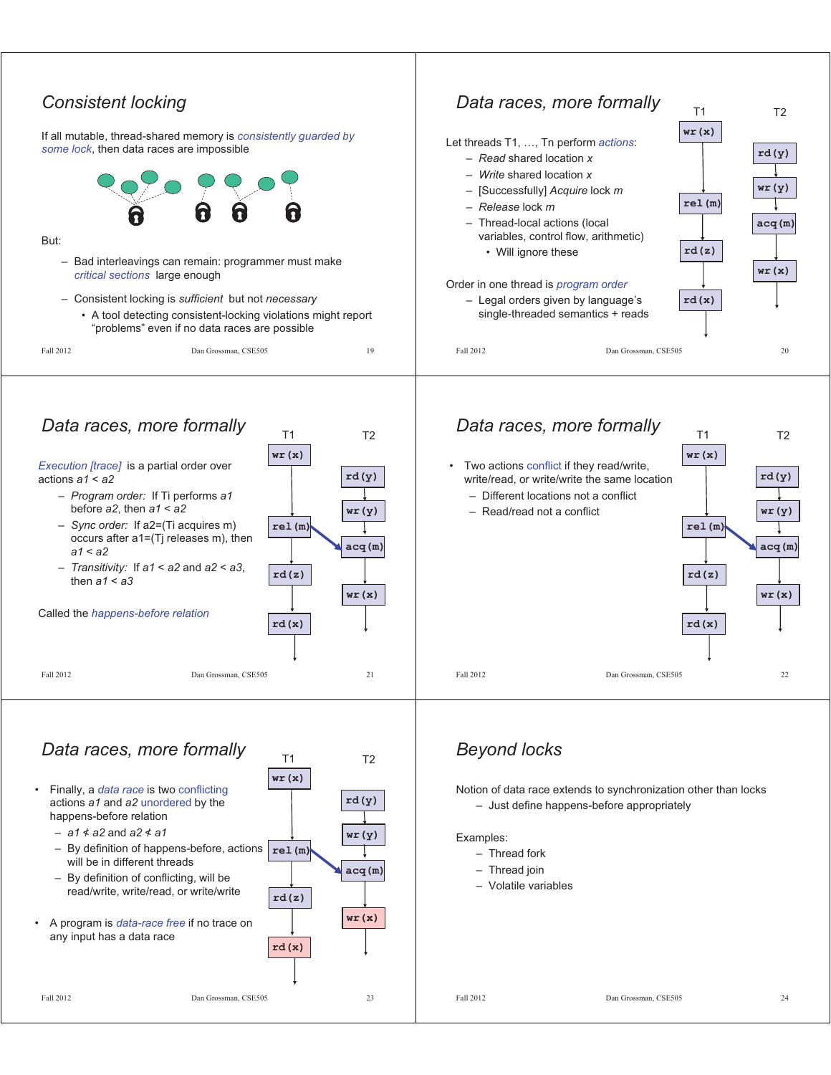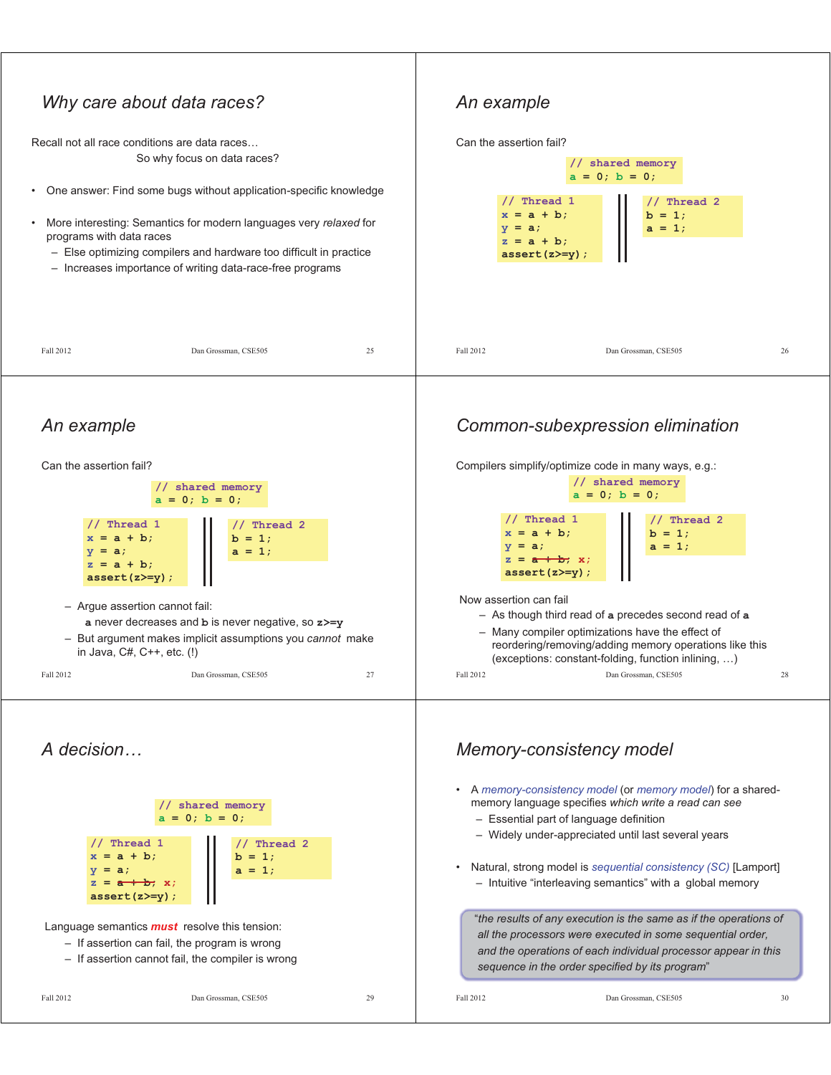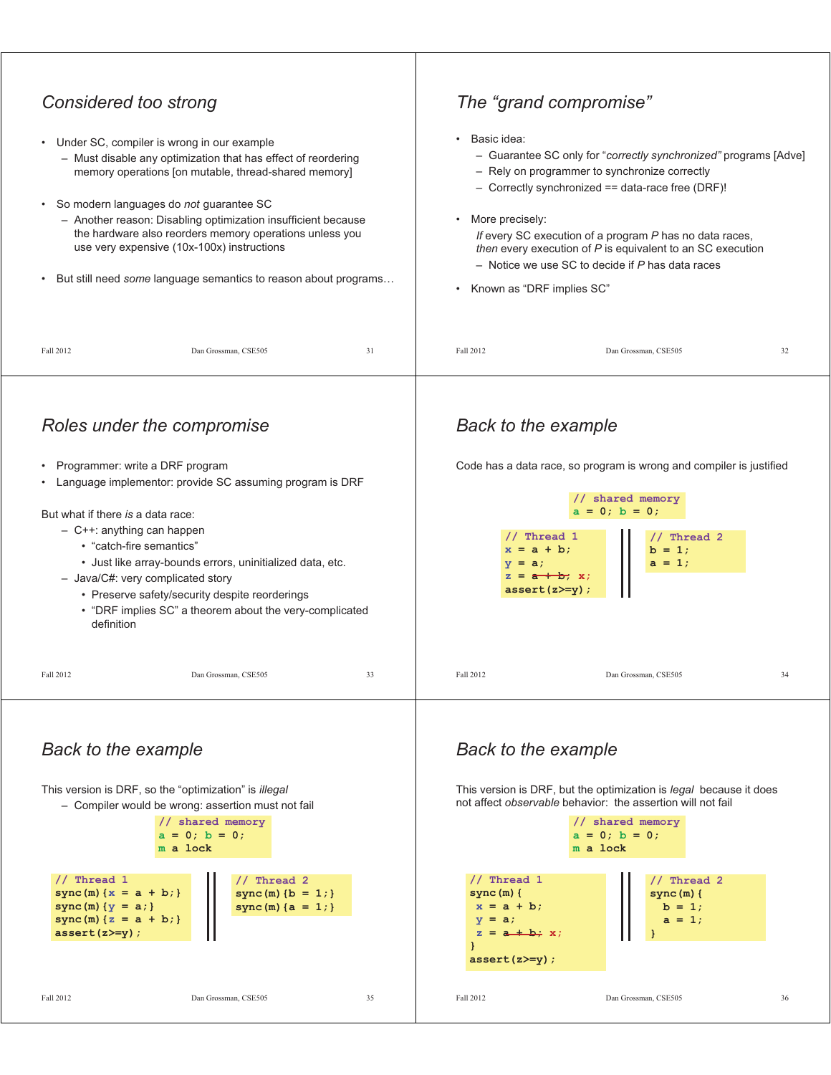

Fall 2012 Dan Grossman, CSE505 36

**}** 

**}** 

**assert(z>=y);**